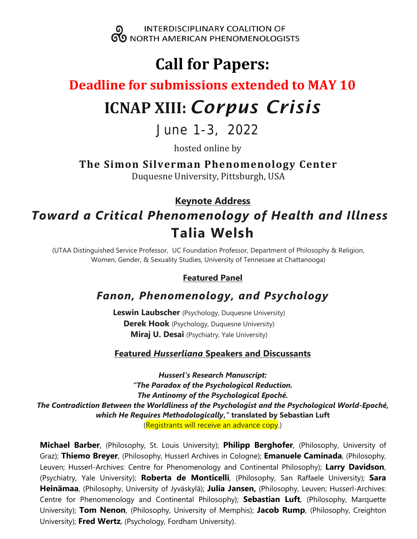

# **Call for Papers:**

## **Deadline for submissions extended to MAY 10**

# **ICNAP XIII:** *Corpus Crisis*

June 1-3, 2022

hosted online by

**The Simon Silverman Phenomenology Center**

Duquesne University, Pittsburgh, USA

### **Keynote Address**

# *Toward a Critical Phenomenology of Health and Illness* **Talia Welsh**

(UTAA Distinguished Service Professor, UC Foundation Professor, Department of Philosophy & Religion, Women, Gender, & Sexuality Studies, University of Tennessee at Chattanooga)

### **Featured Panel**

## *Fanon, Phenomenology, and Psychology*

**Leswin Laubscher** (Psychology, Duquesne University) **Derek Hook** (Psychology, Duquesne University) **Miraj U. Desai** (Psychiatry, Yale University)

### **Featured** *Husserliana* **Speakers and Discussants**

*Husserl's Research Manuscript: "The Paradox of the Psychological Reduction. The Antinomy of the Psychological Epoché. The Contradiction Between the Worldliness of the Psychologist and the Psychological World-Epoché, which He Requires Methodologically***,***"* **translated by Sebastian Luft** (Registrants will receive an advance copy.)

**Michael Barber**, (Philosophy, St. Louis University); **Philipp Berghofer**, (Philosophy, University of Graz); **Thiemo Breyer**, (Philosophy, Husserl Archives in Cologne); **Emanuele Caminada**, (Philosophy, Leuven; Husserl-Archives: Centre for Phenomenology and Continental Philosophy); **Larry Davidson**, (Psychiatry, Yale University); **Roberta de Monticelli**, (Philosophy, San Raffaele University); **Sara Heinämaa**, (Philosophy, University of Jyväskylä); **Julia Jansen,** (Philosophy, Leuven; Husserl-Archives: Centre for Phenomenology and Continental Philosophy); **Sebastian Luft**, (Philosophy, Marquette University); **Tom Nenon**, (Philosophy, University of Memphis); **Jacob Rump**, (Philosophy, Creighton University); **Fred Wertz**, (Psychology, Fordham University).